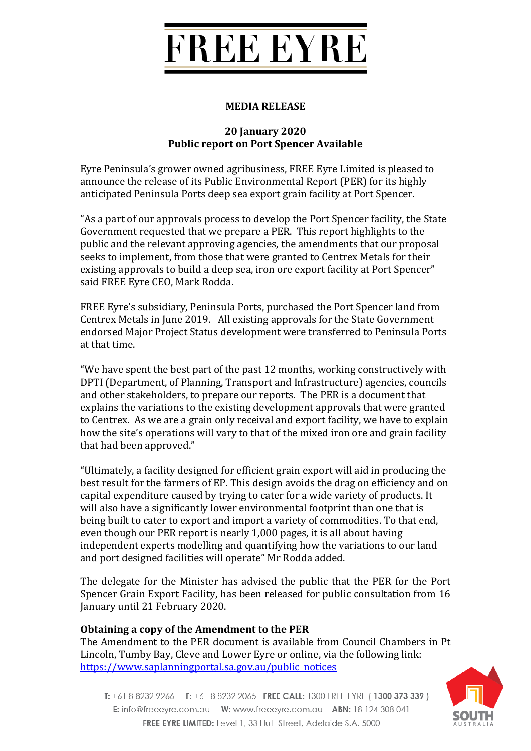

## **MEDIA RELEASE**

## **20 January 2020 Public report on Port Spencer Available**

Eyre Peninsula's grower owned agribusiness, FREE Eyre Limited is pleased to announce the release of its Public Environmental Report (PER) for its highly anticipated Peninsula Ports deep sea export grain facility at Port Spencer.

"As a part of our approvals process to develop the Port Spencer facility, the State Government requested that we prepare a PER. This report highlights to the public and the relevant approving agencies, the amendments that our proposal seeks to implement, from those that were granted to Centrex Metals for their existing approvals to build a deep sea, iron ore export facility at Port Spencer" said FREE Eyre CEO, Mark Rodda.

FREE Eyre's subsidiary, Peninsula Ports, purchased the Port Spencer land from Centrex Metals in June 2019. All existing approvals for the State Government endorsed Major Project Status development were transferred to Peninsula Ports at that time.

"We have spent the best part of the past 12 months, working constructively with DPTI (Department, of Planning, Transport and Infrastructure) agencies, councils and other stakeholders, to prepare our reports. The PER is a document that explains the variations to the existing development approvals that were granted to Centrex. As we are a grain only receival and export facility, we have to explain how the site's operations will vary to that of the mixed iron ore and grain facility that had been approved."

"Ultimately, a facility designed for efficient grain export will aid in producing the best result for the farmers of EP. This design avoids the drag on efficiency and on capital expenditure caused by trying to cater for a wide variety of products. It will also have a significantly lower environmental footprint than one that is being built to cater to export and import a variety of commodities. To that end, even though our PER report is nearly 1,000 pages, it is all about having independent experts modelling and quantifying how the variations to our land and port designed facilities will operate" Mr Rodda added.

The delegate for the Minister has advised the public that the PER for the Port Spencer Grain Export Facility, has been released for public consultation from 16 January until 21 February 2020.

## **Obtaining a copy of the Amendment to the PER**

The Amendment to the PER document is available from Council Chambers in Pt Lincoln, Tumby Bay, Cleve and Lower Eyre or online, via the following link: [https://www.saplanningportal.sa.gov.au/public\\_notices](https://www.saplanningportal.sa.gov.au/public_notices)



T: +61 8 8232 9266 F: +61 8 8232 2065 FREE CALL: 1300 FREE EYRE (1300 373 339) E: info@freeeyre.com.au W: www.freeeyre.com.au ABN: 18 124 308 041 FREE EYRE LIMITED: Level 1, 33 Hutt Street, Adelaide S.A. 5000